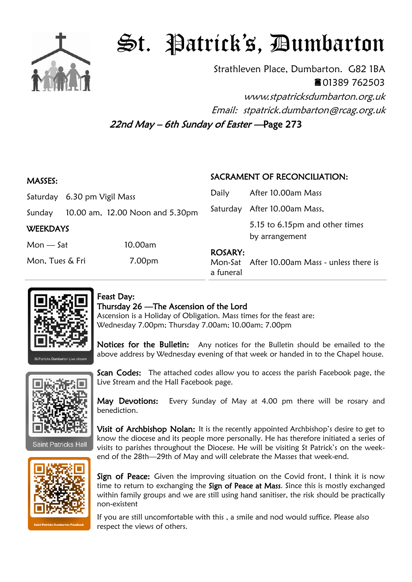

## St. Patrick's, Dumbarton

Strathleven Place, Dumbarton. G82 1BA 01389 762503 www.stpatricksdumbarton.org.uk

Email: stpatrick.dumbarton@rcag.org.uk

22nd May – 6th Sunday of Easter —Page 273

| <b>MASSES:</b>              |  |                                 | SACRAMENT OF RECONCILIATION: |                                                  |
|-----------------------------|--|---------------------------------|------------------------------|--------------------------------------------------|
| Saturday 6.30 pm Vigil Mass |  |                                 | Daily                        | After 10.00am Mass                               |
| Sunday                      |  | 10.00 am, 12.00 Noon and 5.30pm |                              | Saturday After 10.00am Mass,                     |
| <b>WEEKDAYS</b>             |  |                                 |                              | 5.15 to 6.15pm and other times<br>by arrangement |
| $Mon - Sat$                 |  | 10.00am                         | <b>ROSARY:</b>               |                                                  |
| Mon, Tues & Fri             |  | 7.00pm                          | a funeral                    | Mon-Sat After 10.00am Mass - unless there is     |



## Feast Day:

## Thursday 26 —The Ascension of the Lord

Ascension is a Holiday of Obligation. Mass times for the feast are: Wednesday 7.00pm; Thursday 7.00am; 10.00am; 7.00pm

Notices for the Bulletin: Any notices for the Bulletin should be emailed to the above address by Wednesday evening of that week or handed in to the Chapel house.



**Saint Patricks Hall** 



Scan Codes: The attached codes allow you to access the parish Facebook page, the Live Stream and the Hall Facebook page.

May Devotions: Every Sunday of May at 4.00 pm there will be rosary and benediction.

Visit of Archbishop Nolan: It is the recently appointed Archbishop's desire to get to know the diocese and its people more personally. He has therefore initiated a series of visits to parishes throughout the Diocese. He will be visiting St Patrick's on the weekend of the 28th—29th of May and will celebrate the Masses that week-end.

Sign of Peace: Given the improving situation on the Covid front, I think it is now time to return to exchanging the Sign of Peace at Mass. Since this is mostly exchanged within family groups and we are still using hand sanitiser, the risk should be practically non-existent

If you are still uncomfortable with this , a smile and nod would suffice. Please also respect the views of others.